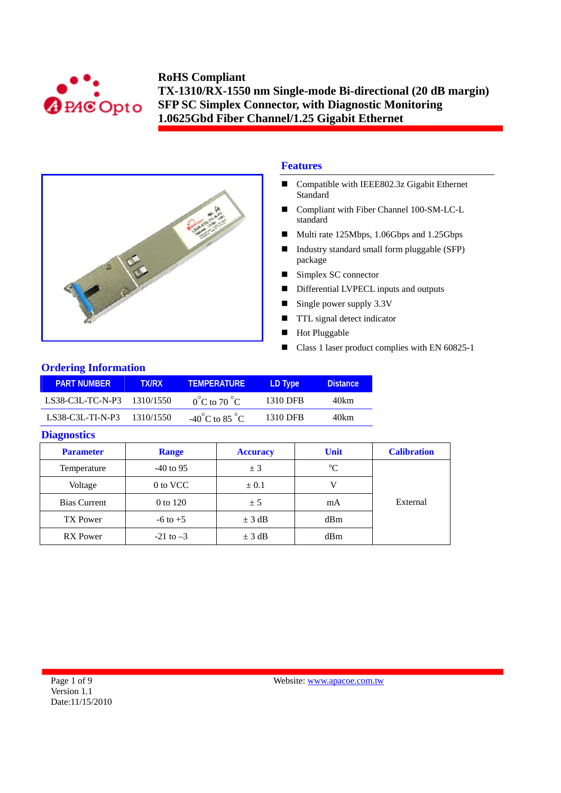



# **Features**

- Compatible with IEEE802.3z Gigabit Ethernet Standard
- Compliant with Fiber Channel 100-SM-LC-L standard
- Multi rate 125Mbps, 1.06Gbps and 1.25Gbps
- Industry standard small form pluggable (SFP) package
- Simplex SC connector
- Differential LVPECL inputs and outputs
- Single power supply  $3.3V$
- **TTL** signal detect indicator
- Hot Pluggable
- Class 1 laser product complies with EN 60825-1

## **Ordering Information**

| PART NUMBER '              | <b>TX/RX</b> | <b>TEMPERATURE</b>                 | LD Type  | <b>Distance</b> |
|----------------------------|--------------|------------------------------------|----------|-----------------|
| LS38-C3L-TC-N-P3 1310/1550 |              | $0^{\circ}$ C to 70 $^{\circ}$ C   | 1310 DFB | 40km            |
| LS38-C3L-TLN-P3            | 1310/1550    | $-40^{\circ}$ C to 85 $^{\circ}$ C | 1310 DFB | 40km            |

#### **Diagnostics**

| <b>Parameter</b>    | <b>Range</b>  | <b>Accuracy</b> | Unit        | <b>Calibration</b> |
|---------------------|---------------|-----------------|-------------|--------------------|
| Temperature         | $-40$ to 95   | ± 3             | $\rm ^{o}C$ |                    |
| Voltage             | 0 to VCC      | $\pm 0.1$       |             |                    |
| <b>Bias Current</b> | 0 to 120      | ± 5             | mA          | External           |
| <b>TX Power</b>     | $-6$ to $+5$  | $\pm$ 3 dB      | dBm         |                    |
| <b>RX</b> Power     | $-21$ to $-3$ | $\pm$ 3 dB      | dBm         |                    |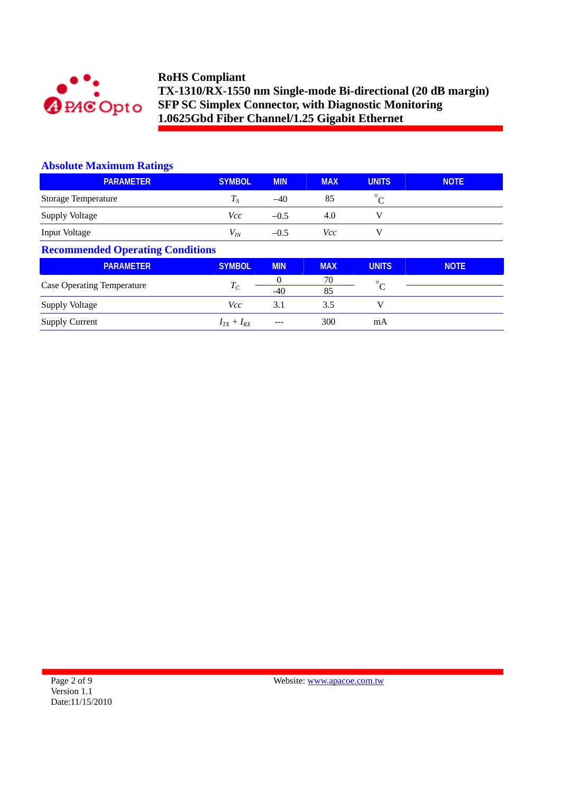

### **Absolute Maximum Ratings**

| <b>PARAMETER</b>                        | <b>SYMBOL</b>     | <b>MIN</b>        | <b>MAX</b> | <b>UNITS</b> | <b>NOTE</b> |  |
|-----------------------------------------|-------------------|-------------------|------------|--------------|-------------|--|
| <b>Storage Temperature</b>              | $T_S$             | $-40$             | 85         | $^{\circ}$ C |             |  |
| Supply Voltage                          | Vcc               | $-0.5$            | 4.0        | V            |             |  |
| Input Voltage                           | $V_{I\!N}$        | $-0.5$            | Vcc        | V            |             |  |
| <b>Recommended Operating Conditions</b> |                   |                   |            |              |             |  |
| <b>PARAMETER</b>                        | <b>SYMBOL</b>     | <b>MIN</b>        | <b>MAX</b> | <b>UNITS</b> | <b>NOTE</b> |  |
| <b>Case Operating Temperature</b>       | $T_C$             | $\Omega$<br>$-40$ | 70<br>85   | $^{\circ}C$  |             |  |
| <b>Supply Voltage</b>                   | Vcc               | 3.1               | 3.5        | v            |             |  |
| <b>Supply Current</b>                   | $I_{TX} + I_{RX}$ |                   | 300        | mA           |             |  |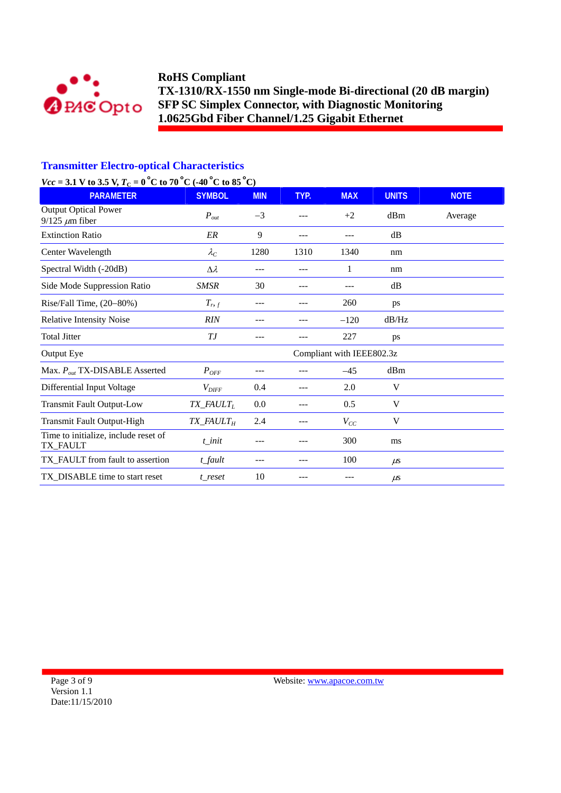

## **Transmitter Electro-optical Characteristics**

# *Vcc* = 3.1 V to 3.5 V,  $T_c$  = 0<sup>°</sup>C to 70<sup>°</sup>C (-40<sup>°</sup>C to 85<sup>°</sup>C)

| <b>PARAMETER</b>                                     | <b>SYMBOL</b>                        | <b>MIN</b> | TYP. | <b>MAX</b>                | <b>UNITS</b> | <b>NOTE</b> |
|------------------------------------------------------|--------------------------------------|------------|------|---------------------------|--------------|-------------|
| <b>Output Optical Power</b><br>$9/125 \ \mu m$ fiber | $P_{out}$                            | $-3$       | ---  | $+2$                      | dBm          | Average     |
| <b>Extinction Ratio</b>                              | ER                                   | 9          | ---  |                           | dB           |             |
| Center Wavelength                                    | $\lambda_C$                          | 1280       | 1310 | 1340                      | nm           |             |
| Spectral Width (-20dB)                               | $\Delta \lambda$                     | ---        | ---  | 1                         | nm           |             |
| Side Mode Suppression Ratio                          | <b>SMSR</b>                          | 30         | ---  |                           | dB           |             |
| Rise/Fall Time, (20-80%)                             | $T_{r,f}$                            | ---        | ---  | 260                       | ps           |             |
| <b>Relative Intensity Noise</b>                      | <b>RIN</b>                           |            |      | $-120$                    | dB/Hz        |             |
| <b>Total Jitter</b>                                  | ТJ                                   |            |      | 227                       | ps           |             |
| Output Eye                                           |                                      |            |      | Compliant with IEEE802.3z |              |             |
| Max. $P_{out}$ TX-DISABLE Asserted                   | $P_{OFF}$                            | ---        |      | $-45$                     | dBm          |             |
| Differential Input Voltage                           | $V_{\text{DIFF}}$                    | 0.4        | ---  | 2.0                       | V            |             |
| <b>Transmit Fault Output-Low</b>                     | $TX$ <sub>_FAULT<sub>L</sub></sub>   | 0.0        | ---  | 0.5                       | V            |             |
| <b>Transmit Fault Output-High</b>                    | $TX$ <sub>FAULT<math>_H</math></sub> | 2.4        |      | $V_{CC}$                  | V            |             |
| Time to initialize, include reset of<br>TX_FAULT     | $t$ _init                            |            |      | 300                       | ms           |             |
| TX_FAULT from fault to assertion                     | $t$ _fault                           | ---        | ---  | 100                       | $\mu$ s      |             |
| TX_DISABLE time to start reset                       | t reset                              | 10         | ---  |                           | $\mu$ s      |             |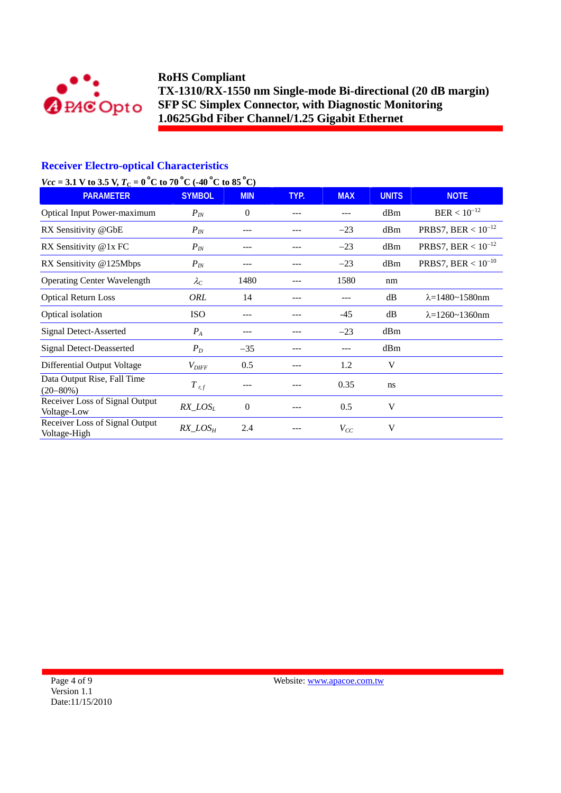

## **Receiver Electro-optical Characteristics**

# *Vcc* = 3.1 V to 3.5 V,  $T_c = 0^\circ$ C to 70 °C (-40 °C to 85 °C)

| <b>PARAMETER</b>                               | <b>SYMBOL</b>     | <b>MIN</b>     | TYP. | <b>MAX</b> | <b>UNITS</b> | <b>NOTE</b>                |
|------------------------------------------------|-------------------|----------------|------|------------|--------------|----------------------------|
| <b>Optical Input Power-maximum</b>             | $P_{IN}$          | $\overline{0}$ | ---  | ---        | dBm          | $BER < 10^{-12}$           |
| RX Sensitivity @GbE                            | $P_{IN}$          | ---            |      | $-23$      | dBm          | PRBS7, BER < $10^{-12}$    |
| RX Sensitivity @1x FC                          | $P_{IN}$          | ---            | ---  | $-23$      | dBm          | PRBS7, BER < $10^{-12}$    |
| RX Sensitivity @125Mbps                        | $P_{IN}$          |                |      | $-23$      | dBm          | PRBS7, BER < $10^{-10}$    |
| <b>Operating Center Wavelength</b>             | $\lambda_C$       | 1480           |      | 1580       | nm           |                            |
| <b>Optical Return Loss</b>                     | ORL               | 14             |      | ---        | dB           | $\lambda = 1480 - 1580$ nm |
| Optical isolation                              | <b>ISO</b>        | ---            | ---  | $-45$      | dB           | $\lambda = 1260 - 1360$ nm |
| <b>Signal Detect-Asserted</b>                  | $P_{A}$           | ---            |      | $-23$      | dBm          |                            |
| <b>Signal Detect-Deasserted</b>                | $P_D$             | $-35$          | ---  | ---        | dBm          |                            |
| Differential Output Voltage                    | $V_{\text{DIFF}}$ | 0.5            |      | 1.2        | V            |                            |
| Data Output Rise, Fall Time<br>$(20 - 80\%)$   | $T$ r, f          |                |      | 0.35       | ns           |                            |
| Receiver Loss of Signal Output<br>Voltage-Low  | $RX\_LOS_L$       | $\overline{0}$ |      | 0.5        | V            |                            |
| Receiver Loss of Signal Output<br>Voltage-High | $RX\_LOS_H$       | 2.4            |      | $V_{CC}$   | V            |                            |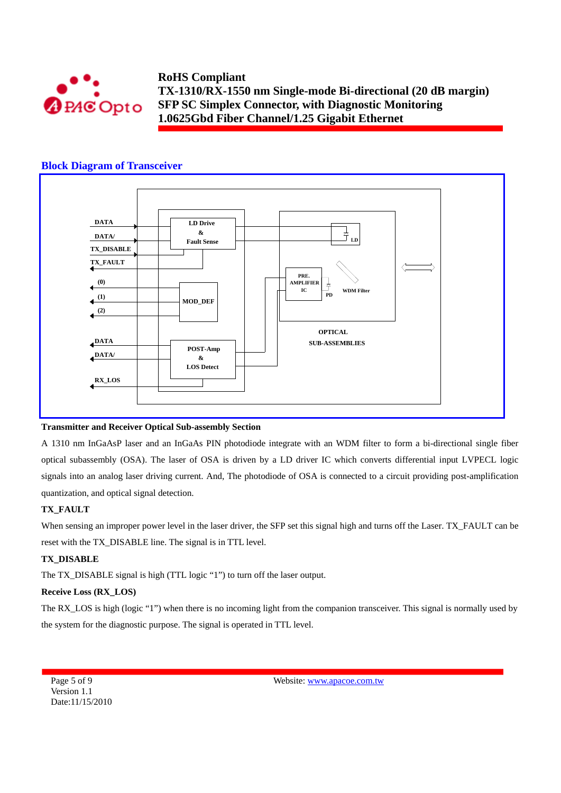

### **Block Diagram of Transceiver**



#### **Transmitter and Receiver Optical Sub-assembly Section**

A 1310 nm InGaAsP laser and an InGaAs PIN photodiode integrate with an WDM filter to form a bi-directional single fiber optical subassembly (OSA). The laser of OSA is driven by a LD driver IC which converts differential input LVPECL logic signals into an analog laser driving current. And, The photodiode of OSA is connected to a circuit providing post-amplification quantization, and optical signal detection.

#### **TX\_FAULT**

When sensing an improper power level in the laser driver, the SFP set this signal high and turns off the Laser. TX\_FAULT can be reset with the TX\_DISABLE line. The signal is in TTL level.

#### **TX\_DISABLE**

The TX\_DISABLE signal is high (TTL logic "1") to turn off the laser output.

#### **Receive Loss (RX\_LOS)**

The RX\_LOS is high (logic "1") when there is no incoming light from the companion transceiver. This signal is normally used by the system for the diagnostic purpose. The signal is operated in TTL level.

Page 5 of 9 Version 1.1 Date:11/15/2010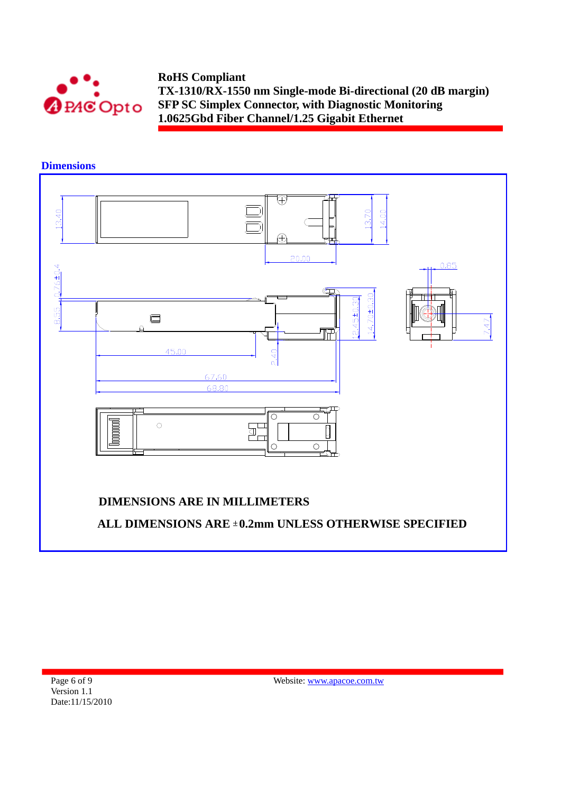



**Dimensions** 

Page 6 of 9 Version 1.1 Date:11/15/2010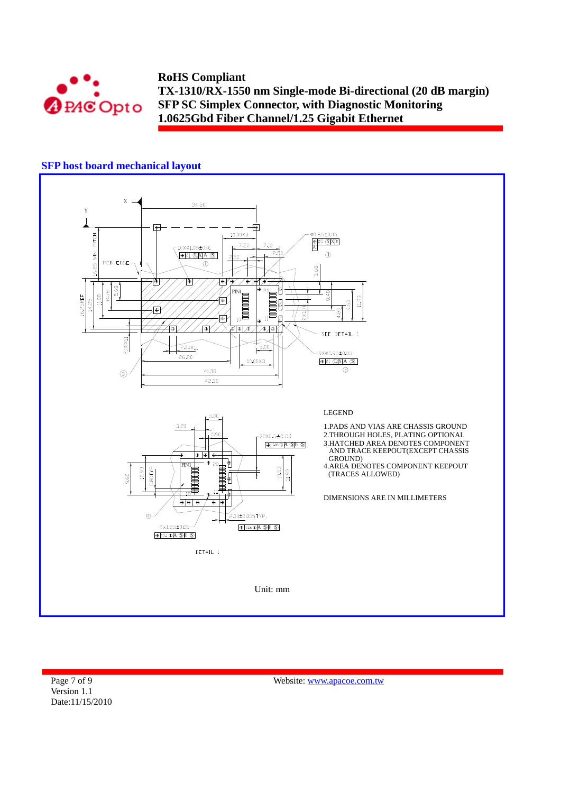

# **SFP host board mechanical layout**



Page 7 of 9 Version 1.1 Date:11/15/2010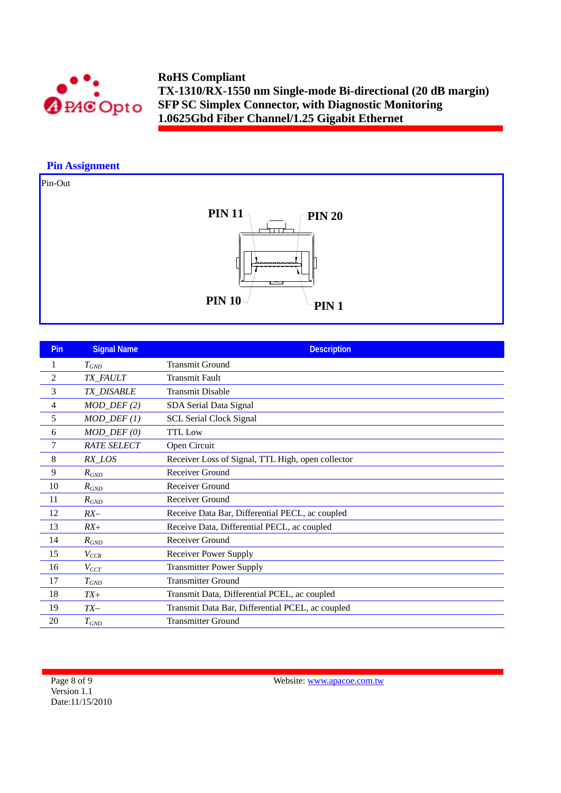

### **Pin Assignment**





| <b>Pin</b>     | <b>Signal Name</b>      | <b>Description</b>                                |
|----------------|-------------------------|---------------------------------------------------|
| 1              | $T_{GND}$               | <b>Transmit Ground</b>                            |
| $\overline{c}$ | TX_FAULT                | <b>Transmit Fault</b>                             |
| 3              | <b>TX DISABLE</b>       | <b>Transmit Disable</b>                           |
| 4              | $MOD_$ DEF(2)           | SDA Serial Data Signal                            |
| 5              | $MOD_$ <i>DEF</i> $(1)$ | <b>SCL Serial Clock Signal</b>                    |
| 6              | $MOD_$ <i>DEF</i> $(0)$ | <b>TTL</b> Low                                    |
| 7              | <b>RATE SELECT</b>      | Open Circuit                                      |
| 8              | RX_LOS                  | Receiver Loss of Signal, TTL High, open collector |
| 9              | $R_{GND}$               | Receiver Ground                                   |
| 10             | $R_{GND}$               | Receiver Ground                                   |
| 11             | $R_{GND}$               | Receiver Ground                                   |
| 12             | $RX-$                   | Receive Data Bar, Differential PECL, ac coupled   |
| 13             | $RX+$                   | Receive Data, Differential PECL, ac coupled       |
| 14             | $R_{GND}$               | Receiver Ground                                   |
| 15             | $V_{CCR}$               | <b>Receiver Power Supply</b>                      |
| 16             | $V_{CCT}$               | <b>Transmitter Power Supply</b>                   |
| 17             | $T_{GND}$               | <b>Transmitter Ground</b>                         |
| 18             | $TX+$                   | Transmit Data, Differential PCEL, ac coupled      |
| 19             | $TX-$                   | Transmit Data Bar, Differential PCEL, ac coupled  |
| 20             | $T_{GND}$               | <b>Transmitter Ground</b>                         |

Page 8 of 9 Version 1.1 Date:11/15/2010